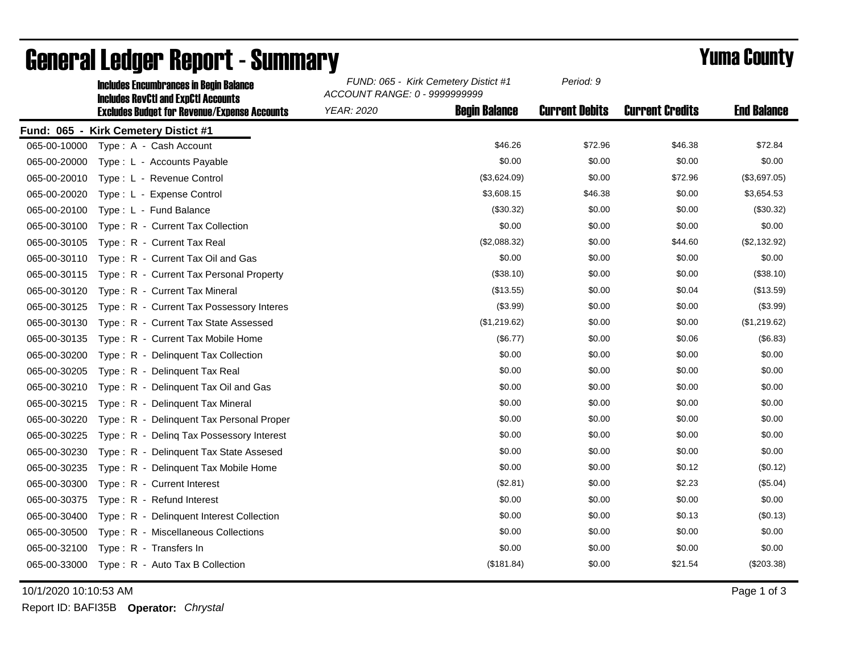|              | <b>Includes Encumbrances in Begin Balance</b><br><b>Includes RevCtI and ExpCtI Accounts</b> | FUND: 065 - Kirk Cemetery Distict #1<br>ACCOUNT RANGE: 0 - 9999999999 |                      | Period: 9             |                        |                    |
|--------------|---------------------------------------------------------------------------------------------|-----------------------------------------------------------------------|----------------------|-----------------------|------------------------|--------------------|
|              | <b>Excludes Budget for Revenue/Expense Accounts</b>                                         | <b>YEAR: 2020</b>                                                     | <b>Begin Balance</b> | <b>Current Debits</b> | <b>Current Credits</b> | <b>End Balance</b> |
|              | Fund: 065 - Kirk Cemetery Distict #1                                                        |                                                                       |                      |                       |                        |                    |
| 065-00-10000 | Type: A - Cash Account                                                                      |                                                                       | \$46.26              | \$72.96               | \$46.38                | \$72.84            |
| 065-00-20000 | Type: L - Accounts Payable                                                                  |                                                                       | \$0.00               | \$0.00                | \$0.00                 | \$0.00             |
| 065-00-20010 | Type: L - Revenue Control                                                                   |                                                                       | (\$3,624.09)         | \$0.00                | \$72.96                | (\$3,697.05)       |
| 065-00-20020 | Type: L - Expense Control                                                                   |                                                                       | \$3,608.15           | \$46.38               | \$0.00                 | \$3,654.53         |
| 065-00-20100 | Type: L - Fund Balance                                                                      |                                                                       | (\$30.32)            | \$0.00                | \$0.00                 | (\$30.32)          |
| 065-00-30100 | Type: R - Current Tax Collection                                                            |                                                                       | \$0.00               | \$0.00                | \$0.00                 | \$0.00             |
| 065-00-30105 | Type: R - Current Tax Real                                                                  |                                                                       | (\$2,088.32)         | \$0.00                | \$44.60                | (\$2,132.92)       |
| 065-00-30110 | Type: R - Current Tax Oil and Gas                                                           |                                                                       | \$0.00               | \$0.00                | \$0.00                 | \$0.00             |
| 065-00-30115 | Type: R - Current Tax Personal Property                                                     |                                                                       | (\$38.10)            | \$0.00                | \$0.00                 | (\$38.10)          |
| 065-00-30120 | Type: R - Current Tax Mineral                                                               |                                                                       | (\$13.55)            | \$0.00                | \$0.04                 | (\$13.59)          |
| 065-00-30125 | Type: R - Current Tax Possessory Interes                                                    |                                                                       | (\$3.99)             | \$0.00                | \$0.00                 | (\$3.99)           |
| 065-00-30130 | Type: R - Current Tax State Assessed                                                        |                                                                       | (\$1,219.62)         | \$0.00                | \$0.00                 | (\$1,219.62)       |
| 065-00-30135 | Type: R - Current Tax Mobile Home                                                           |                                                                       | (\$6.77)             | \$0.00                | \$0.06                 | (\$6.83)           |
| 065-00-30200 | Type: R - Delinquent Tax Collection                                                         |                                                                       | \$0.00               | \$0.00                | \$0.00                 | \$0.00             |
| 065-00-30205 | Type: R - Delinquent Tax Real                                                               |                                                                       | \$0.00               | \$0.00                | \$0.00                 | \$0.00             |
| 065-00-30210 | Type: R - Delinquent Tax Oil and Gas                                                        |                                                                       | \$0.00               | \$0.00                | \$0.00                 | \$0.00             |
| 065-00-30215 | Type: R - Delinquent Tax Mineral                                                            |                                                                       | \$0.00               | \$0.00                | \$0.00                 | \$0.00             |
| 065-00-30220 | Type: R - Delinquent Tax Personal Proper                                                    |                                                                       | \$0.00               | \$0.00                | \$0.00                 | \$0.00             |
| 065-00-30225 | Type: R - Deling Tax Possessory Interest                                                    |                                                                       | \$0.00               | \$0.00                | \$0.00                 | \$0.00             |
| 065-00-30230 | Type: R - Delinquent Tax State Assesed                                                      |                                                                       | \$0.00               | \$0.00                | \$0.00                 | \$0.00             |
| 065-00-30235 | Type: R - Delinquent Tax Mobile Home                                                        |                                                                       | \$0.00               | \$0.00                | \$0.12                 | (\$0.12)           |
| 065-00-30300 | Type: R - Current Interest                                                                  |                                                                       | (\$2.81)             | \$0.00                | \$2.23                 | (\$5.04)           |
| 065-00-30375 | Type: R - Refund Interest                                                                   |                                                                       | \$0.00               | \$0.00                | \$0.00                 | \$0.00             |
| 065-00-30400 | Type: R - Delinquent Interest Collection                                                    |                                                                       | \$0.00               | \$0.00                | \$0.13                 | (\$0.13)           |
| 065-00-30500 | Type: R - Miscellaneous Collections                                                         |                                                                       | \$0.00               | \$0.00                | \$0.00                 | \$0.00             |
| 065-00-32100 | Type: R - Transfers In                                                                      |                                                                       | \$0.00               | \$0.00                | \$0.00                 | \$0.00             |
| 065-00-33000 | Type: R - Auto Tax B Collection                                                             |                                                                       | (\$181.84)           | \$0.00                | \$21.54                | $(\$203.38)$       |

## General Ledger Report - Summary **Example 2018** Yuma County

10/1/2020 10:10:53 AM Page 1 of 3

Report ID: BAFI35B **Operator:** *Chrystal*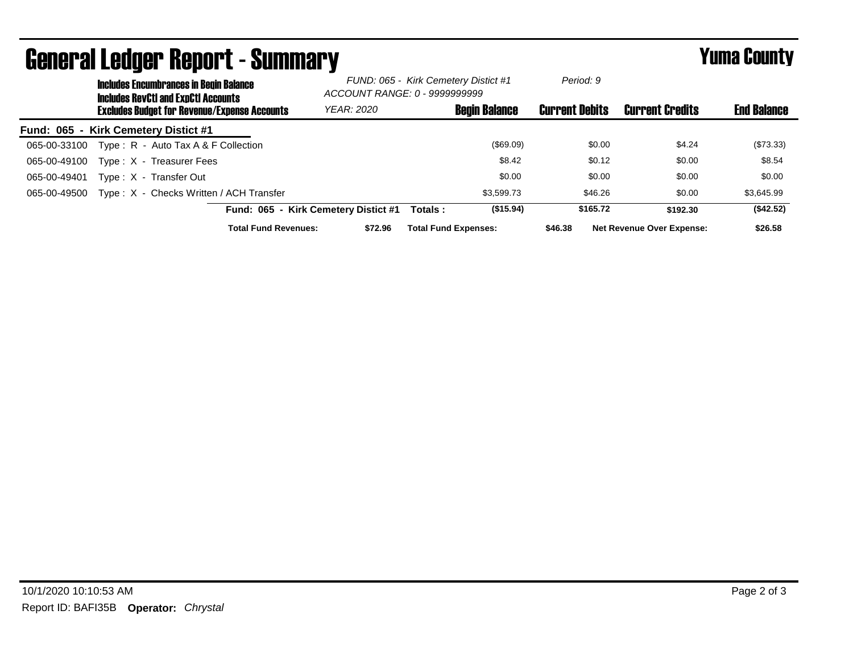| <u> Agiigi. Si Francis Venni, r. - Phillingi. A</u> |                                                                                      |                                                     |                                                                       |                                      |                             |                      |                       | Tunia Gounty                     |                    |
|-----------------------------------------------------|--------------------------------------------------------------------------------------|-----------------------------------------------------|-----------------------------------------------------------------------|--------------------------------------|-----------------------------|----------------------|-----------------------|----------------------------------|--------------------|
|                                                     | <b>Includes Encumbrances in Begin Balance</b><br>Includes RevCtI and ExpCtI Accounts |                                                     | FUND: 065 - Kirk Cemetery Distict #1<br>ACCOUNT RANGE: 0 - 9999999999 |                                      | Period: 9                   |                      |                       |                                  |                    |
|                                                     |                                                                                      | <b>Excludes Budget for Revenue/Expense Accounts</b> |                                                                       | <b>YEAR: 2020</b>                    |                             | <b>Begin Balance</b> | <b>Current Debits</b> | <b>Current Credits</b>           | <b>End Balance</b> |
| Fund: 065 - Kirk Cemetery Distict #1                |                                                                                      |                                                     |                                                                       |                                      |                             |                      |                       |                                  |                    |
| 065-00-33100                                        |                                                                                      | Type: $R -$ Auto Tax A & F Collection               |                                                                       |                                      |                             | (\$69.09)            | \$0.00                | \$4.24                           | (\$73.33)          |
| 065-00-49100                                        |                                                                                      | Type: X - Treasurer Fees                            |                                                                       |                                      |                             | \$8.42               | \$0.12                | \$0.00                           | \$8.54             |
| 065-00-49401                                        |                                                                                      | Type: X - Transfer Out                              |                                                                       |                                      |                             | \$0.00               | \$0.00                | \$0.00                           | \$0.00             |
| 065-00-49500                                        |                                                                                      | Type: X - Checks Written / ACH Transfer             |                                                                       |                                      |                             | \$3.599.73           | \$46.26               | \$0.00                           | \$3,645.99         |
|                                                     |                                                                                      |                                                     |                                                                       | Fund: 065 - Kirk Cemetery Distict #1 | Totals:                     | (\$15.94)            | \$165.72              | \$192.30                         | (\$42.52)          |
|                                                     |                                                                                      |                                                     | <b>Total Fund Revenues:</b>                                           | \$72.96                              | <b>Total Fund Expenses:</b> |                      | \$46.38               | <b>Net Revenue Over Expense:</b> | \$26.58            |

## General Ledger Report - Gummary Vuma County - Summary Yuma County